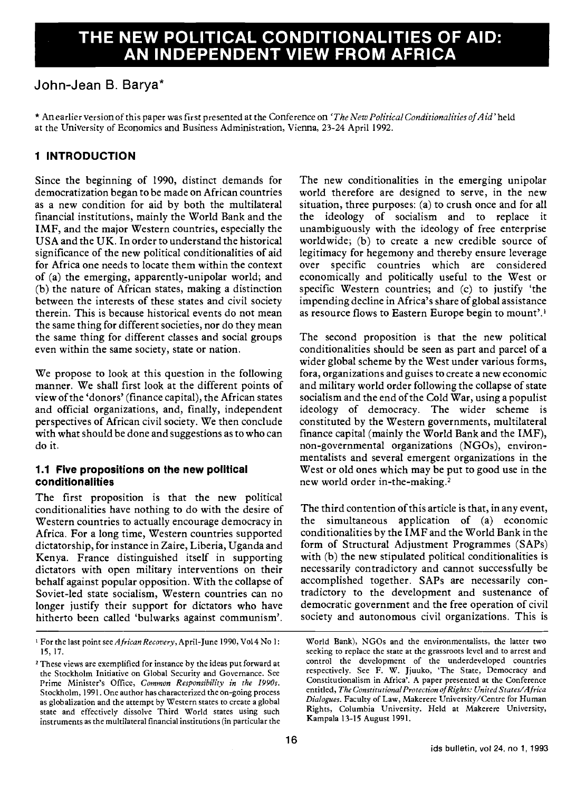# THE NEW POLITICAL CONDITIONALITIES OF AID: AN INDEPENDENT VIEW FROM AFRICA

## John-Jean B. Barya\*

\* An earlier version of this paper was first presented at the Conference on 'The New Political Conditionalities of Aid' held at the University of Economics and Business Administration, Vienna, 23-24 April 1992.

### 1 INTRODUCTION

Since the beginning of 1990, distinct demands for democratization began to be made on African countries as a new condition for aid by both the multilateral financial institutions, mainly the World Bank and the IMF, and the major Western countries, especially the USA and the UK. In order to understand the historical significance of the new political conditionalities of aid for Africa one needs to locate them within the context of (a) the emerging, apparently-unipolar world; and (b) the nature of African states, making a distinction between the interests of these states and civil society therein. This is because historical events do not mean the same thing for different societies, nor do they mean the same thing for different classes and social groups even within the same society, state or nation.

We propose to look at this question in the following manner. We shall first look at the different points of view of the 'donors' (finance capital), the African states and official organizations, and, finally, independent perspectives of African civil society. We then conclude with what should be done and suggestions as to who can do it.

#### 1.1 Five propositions on the new political conditlonalities

The first proposition is that the new political conditionalities have nothing to do with the desire of Western countries to actually encourage democracy in Africa. For a long time, Western countries supported dictatorship, for instance in Zaire, Liberia, Uganda and Kenya. France distinguished itself in supporting dictators with open military interventions on their behalf against popular opposition. With the collapse of Soviet-led state socialism, Western countries can no longer justify their support for dictators who have hitherto been called 'bulwarks against communism'.

The new conditionalities in the emerging unipolar world therefore are designed to serve, in the new situation, three purposes: (a) to crush once and for all the ideology of socialism and to replace it unambiguously with the ideology of free enterprise worldwide; (b) to create a new credible source of legitimacy for hegemony and thereby ensure leverage over specific countries which are considered economically and politically useful to the West or specific Western countries; and (c) to justify 'the impending decline in Africa's share of global assistance as resource flows to Eastern Europe begin to mount'.'

The second proposition is that the new political conditionalities should be seen as part and parcel of a wider global scheme by the West under various forms, fora, organizations and guises to create a new economic and military world order following the collapse of state socialism and the end of the Cold War, using a populist ideology of democracy. The wider scheme is constituted by the Western governments, multilateral finance capital (mainly the World Bank and the IMF), non-governmental organizations (NGOs), environmentalists and several emergent organizations in the West or old ones which may be put to good use in the new world order in-the-making.<sup>2</sup>

The third contention of this article is that, in any event, the simultaneous application of (a) economic conditionalities by the IMF and the World Bank in the form of Structural Adjustment Programmes (SAPs) with (b) the new stipulated political conditionalities is necessarily contradictory and cannot successfully be accomplished together. SAPs are necessarily contradictory to the development and sustenance of democratic government and the free operation of civil society and autonomous civil organizations. This is

<sup>&</sup>lt;sup>1</sup> For the last point see African Recovery, April-June 1990, Vol 4 No 1: 15, 17.

<sup>2</sup> These views are exemplified for instance by the ideas put forward at the Stockholm Initiative on Global Security and Governance. See Prime Minister's Office, Common Responsibility in the 1990s. Stockholm, 1991. One author has characterized the on-going process as globalization and the attempt by Western states to create a global state and effectively dissolve Third World states using such instruments as the multilateral financial institutions (in particular the

World Bank), NGOs and the environmentalists, the latter two seeking to replace the state at the grassroots level and to arrest and control the development of the underdeveloped countries respectively. See F. W. Jjuuko, 'The State, Democracy and Constitutionalism in Africa'. A paper presented at the Conference entitled, The Constitutional Protection of Rights: United States/Africa Dialogues. Faculty of Law, Makerere University/Centre for Human Rights, Columbia University. Held at Makerere University, Kampala 13-15 August 1991.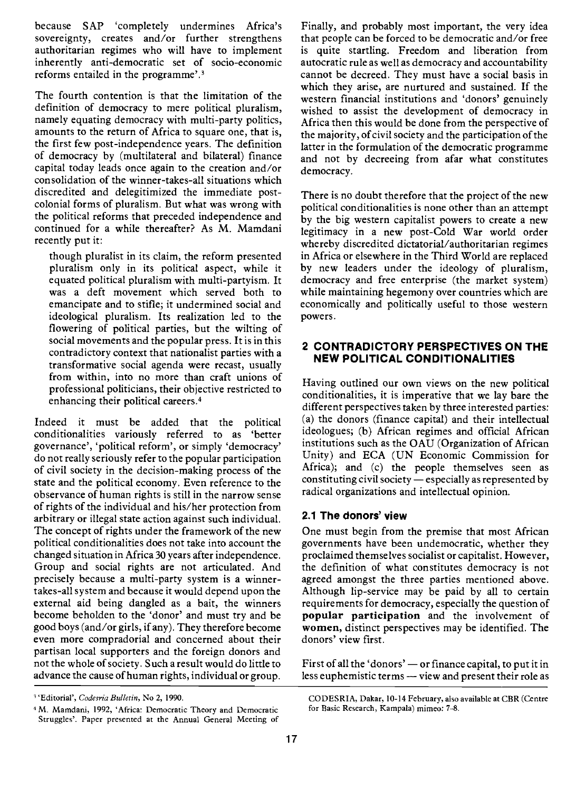because SAP 'completely undermines Africa's sovereignty, creates and/or further strengthens authoritarian regimes who will have to implement inherently anti-democratic set of socio-economic reforms entailed in the programme'.3

The fourth contention is that the limitation of the definition of democracy to mere political pluralism, namely equating democracy with multi-party politics, amounts to the return of Africa to square one, that is, the first few post-independence years. The definition of democracy by (multilateral and bilateral) finance capital today leads once again to the creation and/or consolidation of the winner-takes-all situations which discredited and delegitimized the immediate postcolonial forms of pluralism. But what was wrong with the political reforms that preceded independence and continued for a while thereafter? As M. Mamdani recently put it:

though pluralist in its claim, the reform presented pluralism only in its political aspect, while it equated political pluralism with multi-partyism. It was a deft movement which served both to emancipate and to stifle; it undermined social and ideological pluralism. Its realization led to the flowering of political parties, but the wilting of social movements and the popular press. It is in this contradictory context that nationalist parties with a transformative social agenda were recast, usually from within, into no more than craft unions of professional politicians, their objective restricted to enhancing their political careers.4

Indeed it must be added that the political conditionalities variously referred to as 'better governance', 'political reform', or simply 'democracy' do not really seriously refer to the popular participation of civil society in the decision-making process of the state and the political economy. Even reference to the observance of human rights is still in the narrow sense of rights of the individual and his/her protection from arbitrary or illegal state action against such individual. The concept of rights under the framework of the new political conditionalities does not take into account the changed situation in Africa 30 years after independence. Group and social rights are not articulated. And precisely because a multi-party system is a winnertakes-all system and because it would depend upon the external aid being dangled as a bait, the winners become beholden to the 'donor' and must try and be good boys (and/or girls, if any). They therefore become even more compradorial and concerned about their partisan local supporters and the foreign donors and not the whole of society. Such a result would do little to advance the cause of human rights, individual or group.

Finally, and probably most important, the very idea that people can be forced to be democratic and/or free is quite startling. Freedom and liberation from autocratic rule as well as democracy and accountability cannot be decreed. They must have a social basis in which they arise, are nurtured and sustained. If the western financial institutions and 'donors' genuinely wished to assist the development of democracy in Africa then this would be done from the perspective of the majority, of civil society and the participation of the latter in the formulation of the democratic programme and not by decreeing from afar what constitutes democracy.

There is no doubt therefore that the project of the new political conditionalities is none other than an attempt by the big western capitalist powers to create a new legitimacy in a new post-Cold War world order whereby discredited dictatorial/authoritarian regimes in Africa or elsewhere in the Third World are replaced by new leaders under the ideology of pluralism, democracy and free enterprise (the market system) while maintaining hegemony over countries which are economically and politically useful to those western powers.

#### 2 CONTRADICTORY PERSPECTIVES ON THE NEW POLITICAL CONDITIONALITIES

Having outlined our own views on the new political conditionalities, it is imperative that we lay bare the different perspectives taken by three interested parties: (a) the donors (finance capital) and their intellectual ideologues; (b) African regimes and official African institutions such as the OAU (Organization of African Unity) and ECA (UN Economic Commission for Africa); and (c) the people themselves seen as constituting civil society  $-$  especially as represented by radical organizations and intellectual opinion.

#### 2.1 The donors' view

One must begin from the premise that most African governments have been undemocratic, whether they proclaimed themselves socialist or capitalist. However, the definition of what constitutes democracy is not agreed amongst the three parties mentioned above. Although lip-service may be paid by all to certain requirements for democracy, especially the question of popular participation and the involvement of women, distinct perspectives may be identified. The donors' view first.

First of all the 'donors'  $-$  or finance capital, to put it in less euphemistic terms - view and present their role as

CODESRIA, Dakar, 10-14 February, also available at CER (Centre for Basic Research, Kampala) mimeo: 7-8.

<sup>&</sup>lt;sup>3</sup>'Editorial', Codesria Bulletin, No 2, 1990.

<sup>&#</sup>x27;M. Mamdani, 1992, 'Africa: Democratic Theory and Democratic Struggles'. Paper presented at the Annual General Meeting of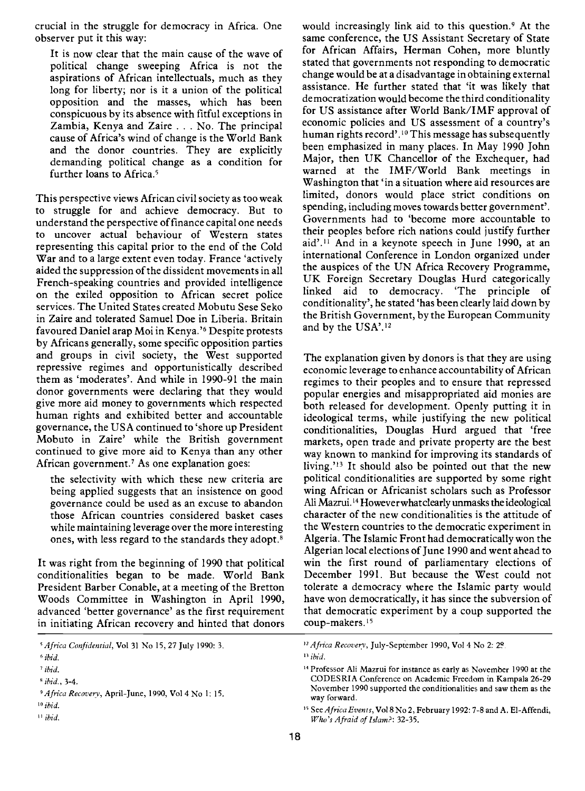crucial in the struggle for democracy in Africa. One observer put it this way:

It is now clear that the main cause of the wave of political change sweeping Africa is not the aspirations of African intellectuals, much as they long for liberty; nor is it a union of the political opposition and the masses, which has been conspicuous by its absence with fitful exceptions in Zambia, Kenya and Zaire . . . No. The principal cause of Africa's wind of change is the World Bank and the donor countries. They are explicitly demanding political change as a condition for further loans to Africa.<sup>5</sup>

This perspective views African civil society as too weak to struggle for and achieve democracy. But to understand the perspective of finance capital one needs to uncover actual behaviour of Western states representing this capital prior to the end of the Cold War and to a large extent even today. France 'actively aided the suppression of the dissident movements in all French-speaking countries and provided intelligence on the exiled opposition to African secret police services. The United States created Mobutu Sese Seko in Zaire and tolerated Samuel Doe in Liberia. Britain favoured Daniel arap Moi in Kenya.'6 Despite protests by Africans generally, some specific opposition parties and groups in civil society, the West supported repressive regimes and opportunistically described them as 'moderates'. And while in 1990-91 the main donor governments were declaring that they would give more aid money to governments which respected human rights and exhibited better and accountable governance, the USA continued to 'shore up President Mobuto in Zaire' while the British government continued to give more aid to Kenya than any other African government.<sup>7</sup> As one explanation goes:

the selectivity with which these new criteria are being applied suggests that an insistence on good governance could be used as an excuse to abandon those African countries considered basket cases while maintaining leverage over the more interesting ones, with less regard to the standards they adopt.8

It was right from the beginning of 1990 that political conditionalities began to be made. World Bank President Barber Conable, at a meeting of the Bretton Woods Committee in Washington in April 1990, advanced 'better governance' as the first requirement in initiating African recovery and hinted that donors would increasingly link aid to this question.9 At the same conference, the US Assistant Secretary of State for African Affairs, Herman Cohen, more bluntly stated that governments not responding to democratic change would be at a disadvantage in obtaining external assistance. He further stated that 'it was likely that democratization would become the third conditionality for US assistance after World Bank/IMF approval of economic policies and US assessment of a country's human rights record'.<sup>10</sup> This message has subsequently been emphasized in many places. In May 1990 John Major, then UK Chancellor of the Exchequer, had warned at the IMF/World Bank meetings in Washington that 'in a situation where aid resources are limited, donors would place strict conditions on spending, including moves towards better government'. Governments had to 'become more accountable to their peoples before rich nations could justify further aid'.<sup>11</sup> And in a keynote speech in June 1990, at an international Conference in London organized under the auspices of the UN Africa Recovery Programme, UK Foreign Secretary Douglas Hurd categorically linked aid to democracy. 'The principle of conditionality', he stated 'has been clearly laid down by the British Government, by the European Community and by the USA'.'2

The explanation given by donors is that they are using economic leverage to enhance accountability of African regimes to their peoples and to ensure that repressed popular energies and misappropriated aid monies are both released for development. Openly putting it in ideological terms, while justifying the new political conditionalities, Douglas Hurd argued that 'free markets, open trade and private property are the best way known to mankind for improving its standards of living.<sup>'13</sup> It should also be pointed out that the new political conditionalities are supported by some right wing African or Africanist scholars such as Professor All Mazrui.'4 However what clearly unmasks the ideological character of the new conditionalities is the attitude of the Western countries to the democratic experiment in Algeria. The Islamic Front had democratically won the Algerian local elections of June 1990 and went ahead to win the first round of parliamentary elections of December 1991. But because the West could not tolerate a democracy where the Islamic party would have won democratically, it has since the subversion of that democratic experiment by a coup supported the coup-makers.<sup>15</sup>

<sup>&#</sup>x27;Africa Confidential, Vol 31 No 15,27 July 1990: 3.

<sup>&#</sup>x27;ibid.

ibid.

<sup>&#</sup>x27;ibid., 3-4.

<sup>&#</sup>x27;Africa Recovery, April-june, 1990, Vol 4 No 1: 15.

 $^{10}$  ibid.

 $"ibid.$ 

<sup>&</sup>lt;sup>12</sup> Africa Recovery, July-September 1990, Vol 4 No 2: 29.

 $"$ ibid.

<sup>&</sup>lt;sup>14</sup> Professor Ali Mazrui for instance as early as November 1990 at the CODESRIA Conference on Academic Freedom in Kampala 26-29 November 1990 supported the conditionalities and saw them as the way forward.

<sup>&</sup>lt;sup>15</sup> See Africa Events, Vol 8 No 2, February 1992: 7-8 and A. El-Affendi, Who's Afraid of Islam?: 32-35.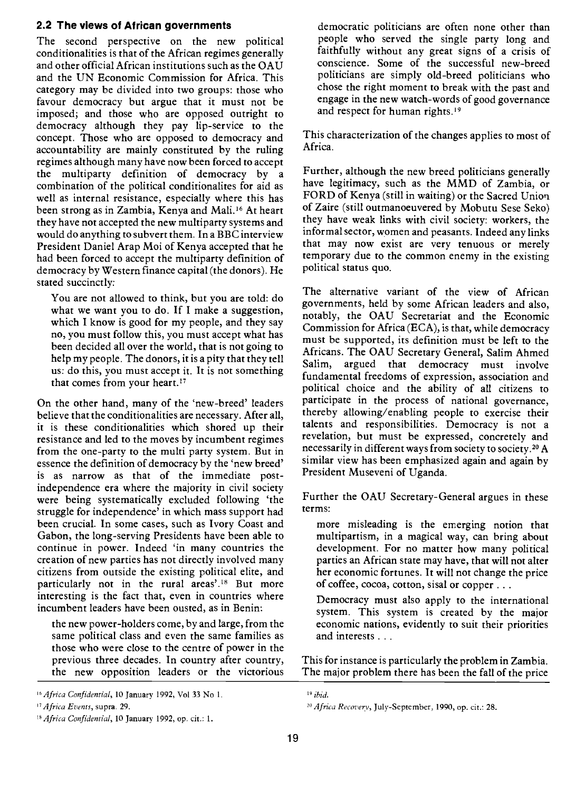#### 2.2 The views of African governments

The second perspective on the new political conditionalities is that of the African regimes generally and other official African institutions such as the OAU and the UN Economic Commission for Africa. This category may be divided into two groups: those who favour democracy but argue that it must not be imposed; and those who are opposed outright to democracy although they pay lip-service to the concept. Those who are opposed to democracy and accountability are mainly constituted by the ruling regimes although many have now been forced to accept the multiparty definition of democracy by a combination of the political conditionalites for aid as well as internal resistance, especially where this has been strong as in Zambia, Kenya and Mali.<sup>16</sup> At heart they have not accepted the new multiparty systems and would do anything to subvert them. In a BBC interview President Daniel Arap Moi of Kenya accepted that he had been forced to accept the multiparty definition of democracy by Western finance capital (the donors). He stated succinctly:

You are not allowed to think, but you are told: do what we want you to do. If I make a suggestion, which I know is good for my people, and they say no, you must follow this, you must accept what has been decided all over the world, that is not going to help my people. The donors, it is a pity that they tell Salim. us: do this, you must accept it. It is not something that comes from your heart.!7

On the other hand, many of the 'new-breed' leaders believe that the conditionalities are necessary. After all, it is these conditionalities which shored up their resistance and led to the moves by incumbent regimes from the one-party to the multi party system. But in essence the definition of democracy by the 'new breed' is as narrow as that of the immediate postindependence era where the majority in civil society were being systematically excluded following 'the struggle for independence' in which mass support had been crucial. In some cases, such as Ivory Coast and Gabon, the long-serving Presidents have been able to continue in power. Indeed 'in many countries the creation of new parties has not directly involved many citizens from outside the existing political elite, and particularly not in the rural areas'.<sup>18</sup> But more interesting is the fact that, even in countries where incumbent leaders have been ousted, as in Benin:

the new power-holders come, by and large, from the same political class and even the same families as those who were close to the centre of power in the previous three decades. In country after country, the new opposition leaders or the victorious

democratic politicians are often none other than people who served the single party long and faithfully without any great signs of a crisis of conscience. Some of the successful new-breed politicians are simply old-breed politicians who chose the right moment to break with the past and engage in the new watch-words of good governance and respect for human rights.<sup>19</sup>

This characterization of the changes applies to most of Africa.

Further, although the new breed politicians generally have legitimacy, such as the MMD of Zambia, or FORD of Kenya (still in waiting) or the Sacred Union of Zaire (still outmanoeuvered by Mobutu Sese Seko) they have weak links with civil society: workers, the informal sector, women and peasants. Indeed any links that may now exist are very tenuous or merely temporary due to the common enemy in the existing political status quo.

The alternative variant of the view of African governments, held by some African leaders and also, notably, the OAU Secretariat and the Economic Commission for Africa (ECA), is that, while democracy must be supported, its definition must be left to the Africans. The OAU Secretary General, Salim Ahmed argued that democracy must involve fundamental freedoms of expression, association and political choice and the ability of all citizens to participate in the process of national governance, thereby allowing/enabling people to exercise their talents and responsibilities. Democracy is not a revelation, but must be expressed, concretely and necessarily in different ways from society to society.2° A similar view has been emphasized again and again by President Museveni of Uganda.

Further the OAU Secretary-General argues in these terms:

more misleading is the emerging notion that multipartism, in a magical way, can bring about development. For no matter how many political parties an African state may have, that will not alter her economic fortunes. It will not change the price of coffee, cocoa, cotton, sisal or copper .

Democracy must also apply to the international system. This system is created by the major economic nations, evidently to suit their priorities and interests . .

This for instance is particularly the problem in Zambia. The major problem there has been the fall of the price

 $16$  Africa Confidential, 10 January 1992, Vol 33 No 1.  $19$  ibid.

<sup>&</sup>lt;sup>18</sup> Africa Confidential, 10 January 1992, op. cit.: 1.

<sup>&</sup>lt;sup>17</sup> Africa Events, supra. 29.  $^{29}$  Africa Recovery, July-September, 1990, op. cit.: 28.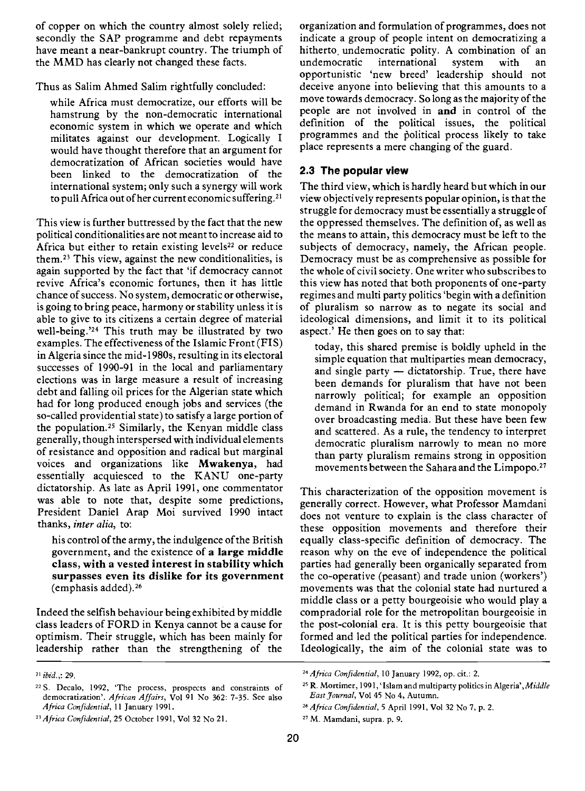of copper on which the country almost solely relied; secondly the SAP programme and debt repayments have meant a near-bankrupt country. The triumph of the MMD has clearly not changed these facts.

Thus as Salim Ahmed Salim rightfully concluded:

while Africa must democratize, our efforts will be hamstrung by the non-democratic international economic system in which we operate and which militates against our development. Logically I would have thought therefore that an argument for democratization of African societies would have been linked to the democratization of the international system; only such a synergy will work to pull Africa out of her current economic suffering.2'

This view is further buttressed by the fact that the new political conditionalities are not meant to increase aid to Africa but either to retain existing levels<sup>22</sup> or reduce them.23 This view, against the new conditionalities, is again supported by the fact that 'if democracy cannot revive Africa's economic fortunes, then it has little chance of success. No system, democratic or otherwise, is going to bring peace, harmony or stability unless it is able to give to its citizens a certain degree of material well-being.'24 This truth may be illustrated by two examples. The effectiveness of the Islamic Front (FIS) in Algeria since the mid- 1 980s, resulting in its electoral successes of 1990-91 in the local and parliamentary elections was in large measure a result of increasing debt and falling oil prices for the Algerian state which had for long produced enough jobs and services (the so-called providential state) to satisfy a large portion of the population.25 Similarly, the Kenyan middle class generally, though interspersed with individual elements of resistance and opposition and radical but marginal voices and organizations like Mwakenya, had essentially acquiesced to the KANU one-party dictatorship. As late as April 1991, one commentator was able to note that, despite some predictions, President Daniel Arap Moi survived 1990 intact thanks, inter alia, to:

his control of the army, the indulgence of the British government, and the existence of a large middle class, with a vested interest in stability which surpasses even its dislike for its government (emphasis added).26

Indeed the selfish behaviour being exhibited by middle class leaders of FORD in Kenya cannot be a cause for optimism. Their struggle, which has been mainly for leadership rather than the strengthening of the organization and formulation of programmes, does not indicate a group of people intent on democratizing a hitherto undemocratic polity. A combination of an undemocratic international system with an opportunistic 'new breed' leadership should not deceive anyone into believing that this amounts to a move towards democracy. So long as the majority of the people are not involved in and in control of the definition of the political issues, the political programmes and the political process likely to take place represents a mere changing of the guard.

#### 2.3 The popular view

The third view, which is hardly heard but which in our view objectively represents popular opinion, is that the struggle for democracy must be essentially a struggle of the oppressed themselves. The definition of, as well as the means to attain, this democracy must be left to the subjects of democracy, namely, the African people. Democracy must be as comprehensive as possible for the whole of civil society. One writer who subscribes to this view has noted that both proponents of one-party regimes and multi party politics 'begin with a definition of pluralism so narrow as to negate its social and ideological dimensions, and limit it to its political aspect.' He then goes on to say that:

today, this shared premise is boldly upheld in the simple equation that multiparties mean democracy, and single party  $-$  dictatorship. True, there have been demands for pluralism that have not been narrowly political; for example an opposition demand in Rwanda for an end to state monopoly over broadcasting media. But these have been few and scattered. As a rule, the tendency to interpret democratic pluralism narrowly to mean no more than party pluralism remains strong in opposition movements between the Sahara and the Limpopo.27

This characterization of the opposition movement is generally correct. However, what Professor Mamdani does not venture to explain is the class character of these opposition movements and therefore their equally class-specific definition of democracy. The reason why on the eve of independence the political parties had generally been organically separated from the co-operative (peasant) and trade union (workers') movements was that the colonial state had nurtured a middle class or a petty bourgeoisie who would play a compradorial role for the metropolitan bourgeoisie in the post-colonial era. It is this petty bourgeoisie that formed and led the political parties for independence. Ideologically, the aim of the colonial state was to

<sup>2!</sup> ibid.,: 29.

<sup>22</sup> S. Decalo, 1992, 'The process, prospects and constraints of democratization'. African Affairs, Vol 91 No 362: 7-35. See also Africa Confidential, II January 1991.

<sup>&</sup>lt;sup>23</sup> Africa Confidential, 25 October 1991, Vol 32 No 21.

<sup>24</sup> Africa Confidential, 10 January 1992, op. cit.: 2.

<sup>&</sup>lt;sup>25</sup> R. Mortimer, 1991, 'Islam and multiparty politics in Algeria', Middle East Journal, Vol 45 No 4, Autumn.

<sup>&</sup>lt;sup>26</sup> Africa Confidential, 5 April 1991, Vol 32 No 7, p. 2.

<sup>27</sup>M. Mamdani, supra. p. 9.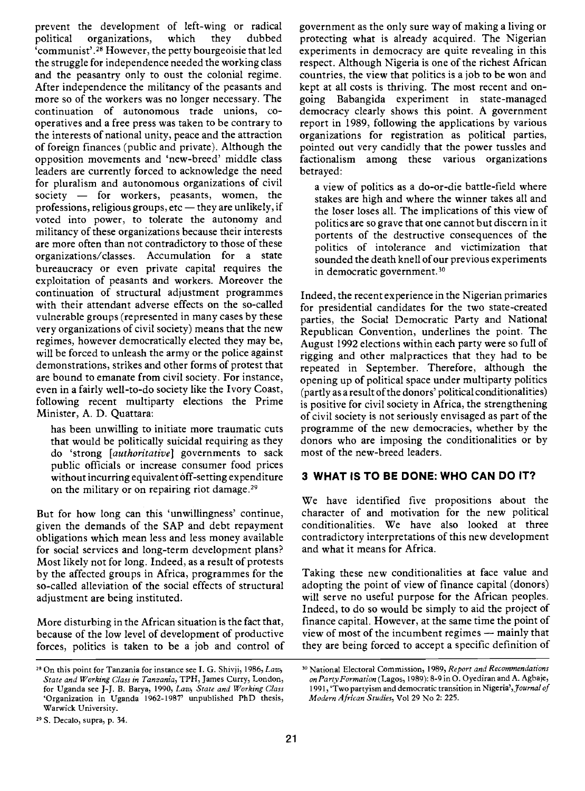prevent the development of left-wing or radical organizations, 'communist'.28 However, the petty bourgeoisie that led the struggle for independence needed the working class and the peasantry only to oust the colonial regime. After independence the militancy of the peasants and more so of the workers was no longer necessary. The continuation of autonomous trade unions, co operatives and a free press was taken to be contrary to the interests of national unity, peace and the attraction of foreign finances (public and private). Although the opposition movements and 'new-breed' middle class leaders are currently forced to acknowledge the need for pluralism and autonomous organizations of civil<br>society - for workers, peasants, women, the professions, religious groups,  $etc$  - they are unlikely, if voted into power, to tolerate the autonomy and militancy of these organizations because their interests are more often than not contradictory to those of these organizations/classes. Accumulation for a state bureaucracy or even private capital requires the exploitation of peasants and workers. Moreover the continuation of structural adjustment programmes with their attendant adverse effects on the so-called vulnerable groups (represented in many cases by these very organizations of civil society) means that the new regimes, however democratically elected they may be, will be forced to unleash the army or the police against demonstrations, strikes and other forms of protest that are bound to emanate from civil society. For instance, even in a fairly well-to-do society like the Ivory Coast, following recent multiparty elections the Prime Minister, A. D. Quattara:

has been unwilling to initiate more traumatic cuts that would be politically suicidal requiring as they do 'strong [authoritative] governments to sack public officials or increase consumer food prices without incurring equivalent óff-setting expenditure on the military or on repairing riot damage.29

But for how long can this 'unwillingness' continue, given the demands of the SAP and debt repayment obligations which mean less and less money available for social services and long-term development plans? Most likely not for long. Indeed, as a result of protests by the affected groups in Africa, programmes for the so-called alleviation of the social effects of structural adjustment are being instituted.

More disturbing in the African situation is the fact that, because of the low level of development of productive forces, politics is taken to be a job and control of government as the only sure way of making a living or protecting what is already acquired. The Nigerian experiments in democracy are quite revealing in this respect. Although Nigeria is one of the richest African countries, the view that politics is a job to be won and kept at all costs is thriving. The most recent and ongoing Babangida experiment in state-managed democracy clearly shows this point. A government report in 1989, following the applications by various organizations for registration as political parties, pointed out very candidly that the power tussles and factionalism among these various organizations betrayed:

a view of politics as a do-or-die battle-field where stakes are high and where the winner takes all and the loser loses all. The implications of this view of politics are so grave that one cannot but discern in it portents of the destructive consequences of the politics of intolerance and victimization that sounded the death knell of our previous experiments in democratic government.30

Indeed, the recent experience in the Nigerian primaries for presidential candidates for the two state-created parties, the Social Democratic Party and National Republican Convention, underlines the point. The August 1992 elections within each party were so full of rigging and other malpractices that they had to be repeated in September. Therefore, although the opening up of political space under multiparty politics (partly as a result of the donors' political conditionalities) is positive for civil society in Africa, the strengthening of civil society is not seriously envisaged as part of the programme of the new democracies, whether by the donors who are imposing the conditionalities or by most of the new-breed leaders.

#### 3 WHAT IS TO BE DONE: WHO CAN DO IT?

We have identified five propositions about the character of and motivation for the new political conditionalities. We have also looked at three contradictory interpretations of this new development and what it means for Africa.

Taking these new conditionalities at face value and adopting the point of view of finance capital (donors) will serve no useful purpose for the African peoples. Indeed, to do so would be simply to aid the project of finance capital. However, at the same time the point of view of most of the incumbent regimes - mainly that they are being forced to accept a specific definition of

 $28$  On this point for Tanzania for instance see I. G. Shivji, 1986, Law, State and Working Class in Tanzania, TPH, James Curry, London, for Uganda see J-J. B. Barya, 1990, Law, State and Working Class 'Organization in Uganda 1962-1987' unpublished PhD thesis, Warwick University.

<sup>29</sup> S. Decalo, supra, p. 34.

<sup>&</sup>lt;sup>30</sup> National Electoral Commission, 1989, Report and Recommendations on Party Formation (Lagos, 1989): 8-9 in O. Oyediran and A. Aghaje, 1991, 'Two partyism and democratic transition in Nigeria', Journal of Modern African Studies, Vol 29 No 2: 225.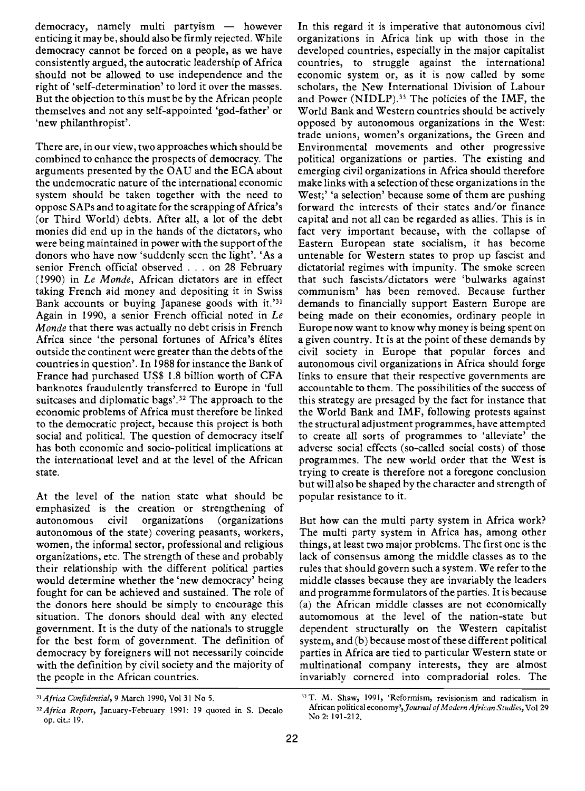$democracv$ , namely multi partyism  $-$  however enticing it may be, should also be firmly rejected. While democracy cannot be forced on a people, as we have consistently argued, the autocratic leadership of Africa should not be allowed to use independence and the right of 'self-determination' to lord it over the masses. But the objection to this must be by the African people themselves and not any self-appointed 'god-father' or 'new philanthropist'.

There are, in our view, two approaches which should be combined to enhance the prospects of democracy. The arguments presented by the OAU and the ECA about the undemocratic nature of the international economic system should be taken together with the need to oppose SAPs and to agitate for the scrapping of Africa's (or Third World) debts. After all, a lot of the debt monies did end up in the hands of the dictators, who were being maintained in power with the support of the donors who have now 'suddenly seen the light'. 'As a senior French official observed . . . on 28 February (1990) in Le Monde, African dictators are in effect taking French aid money and depositing it in Swiss Bank accounts or buving Japanese goods with it.<sup>331</sup> Again in 1990, a senior French official noted in Le Monde that there was actually no debt crisis in French Africa since 'the personal fortunes of Africa's élites outside the continent were greater than the debts of the countries in question'. In 1988 for instance the Bank of France had purchased US\$ 1.8 billion worth of CFA banknotes fraudulently transferred to Europe in 'full suitcases and diplomatic bags'.32 The approach to the economic problems of Africa must therefore be linked to the democratic project, because this project is both social and political. The question of democracy itself has both economic and socio-political implications at the international level and at the level of the African state.

At the level of the nation state what should be emphasized is the creation or strengthening of autonomous civil organizations (organizations autonomous civil autonomous of the state) covering peasants, workers, women, the informal sector, professional and religious organizations, etc. The strength of these and probably their relationship with the different political parties would determine whether the 'new democracy' being fought for can be achieved and sustained. The role of the donors here should be simply to encourage this situation. The donors should deal with any elected government. It is the duty of the nationals to struggle for the best form of government. The definition of democracy by foreigners will not necessarily coincide with the definition by civil society and the majority of the people in the African countries.

In this regard it is imperative that autonomous civil organizations in Africa link up with those in the developed countries, especially in the major capitalist countries, to struggle against the international economic system or, as it is now called by some scholars, the New International Division of Labour and Power (NIDLP).<sup>33</sup> The policies of the IMF, the World Bank and Western countries should be actively opposed by autonomous organizations in the West: trade unions, women's organizations, the Green and Environmental movements and other progressive political organizations or parties. The existing and emerging civil organizations in Africa should therefore make links with a selection of these organizations in the West;' 'a selection' because some of them are pushing forward the interests of their states and/or finance capital and not all can be regarded as allies. This is in fact very important because, with the collapse of Eastern European state socialism, it has become untenable for Western states to prop up fascist and dictatorial regimes with impunity. The smoke screen that such fascists/dictators were 'bulwarks against communism' has been removed. Because further demands to financially support Eastern Europe are being made on their economies, ordinary people in Europe now want to know why money is being spent on a given country. It is at the point of these demands by civil society in Europe that popular forces and autonomous civil organizations in Africa should forge links to ensure that their respective governments are accountable to them. The possibilities of the success of this strategy are presaged by the fact for instance that the World Bank and IMF, following protests against the structural adjustment programmes, have attempted to create all sorts of programmes to 'alleviate' the adverse social effects (so-called social costs) of those programmes. The new world order that the West is trying to create is therefore not a foregone conclusion but will also be shaped by the character and strength of popular resistance to it.

But how can the multi party system in Africa work? The multi party system in Africa has, among other things, at least two major problems. The first one is the lack of consensus among the middle classes as to the rules that should govern such a system. We refer to the middle classes because they are invariably the leaders and programme formulators of the parties. It is because (a) the African middle classes are not economically automomous at the level of the nation-state but dependent structurally on the Western capitalist system, and (b) because most of these different political parties in Africa are tied to particular Western state or multinational company interests, they are almost invariably cornered into compradorial roles. The

<sup>31</sup> Africa Confidential, 9 March 1990, Vol 31 No 5.

<sup>&</sup>lt;sup>32</sup> Africa Report, January-February 1991: 19 quoted in S. Decalo op. cit.: 19.

<sup>33</sup> T. M. Shaw, 1991, 'Reformism, revisionism and radicalism in African political economy', Journal of Modern African Studies, Vol 29 No 2: 191-212.